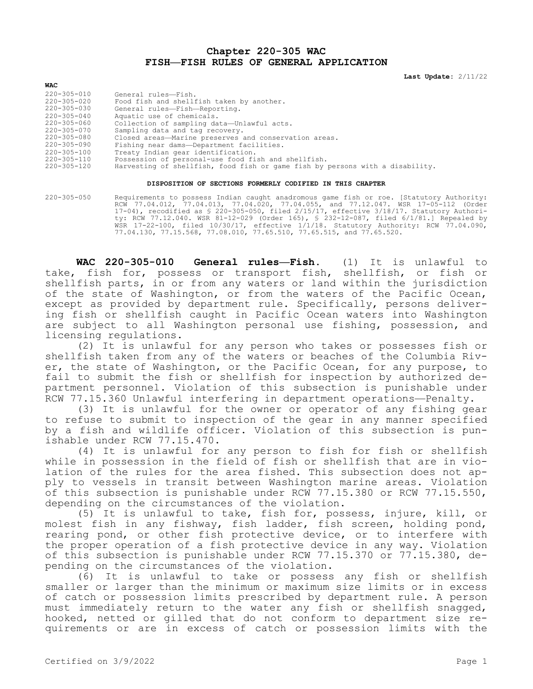**Chapter 220-305 WAC FISH—FISH RULES OF GENERAL APPLICATION**

**Last Update:** 2/11/22

| 220-305-010       | General rules-Fish.                                                           |
|-------------------|-------------------------------------------------------------------------------|
| 220-305-020       | Food fish and shellfish taken by another.                                     |
| 220-305-030       | General rules-Fish-Reporting.                                                 |
| $220 - 305 - 040$ | Aquatic use of chemicals.                                                     |
| 220-305-060       | Collection of sampling data-Unlawful acts.                                    |
| 220-305-070       | Sampling data and tag recovery.                                               |
| 220-305-080       | Closed areas-Marine preserves and conservation areas.                         |
| 220-305-090       | Fishing near dams-Department facilities.                                      |
| $220 - 305 - 100$ | Treaty Indian gear identification.                                            |
| 220-305-110       | Possession of personal-use food fish and shellfish.                           |
| 220-305-120       | Harvesting of shellfish, food fish or game fish by persons with a disability. |
|                   |                                                                               |

## **DISPOSITION OF SECTIONS FORMERLY CODIFIED IN THIS CHAPTER**

220-305-050 Requirements to possess Indian caught anadromous game fish or roe. [Statutory Authority: RCW 77.04.012, 77.04.013, 77.04.020, 77.04.055, and 77.12.047. WSR 17-05-112 (Order 17-04), recodified as § 220-305-050, filed 2/15/17, effective 3/18/17. Statutory Authority: RCW 77.12.040. WSR 81-12-029 (Order 165), § 232-12-087, filed 6/1/81.] Repealed by WSR 17-22-100, filed 10/30/17, effective 1/1/18. Statutory Authority: RCW 77.04.090, 77.04.130, 77.15.568, 77.08.010, 77.65.510, 77.65.515, and 77.65.520.

**WAC 220-305-010 General rules—Fish.** (1) It is unlawful to take, fish for, possess or transport fish, shellfish, or fish or shellfish parts, in or from any waters or land within the jurisdiction of the state of Washington, or from the waters of the Pacific Ocean, except as provided by department rule. Specifically, persons delivering fish or shellfish caught in Pacific Ocean waters into Washington are subject to all Washington personal use fishing, possession, and licensing regulations.

(2) It is unlawful for any person who takes or possesses fish or shellfish taken from any of the waters or beaches of the Columbia River, the state of Washington, or the Pacific Ocean, for any purpose, to fail to submit the fish or shellfish for inspection by authorized department personnel. Violation of this subsection is punishable under RCW 77.15.360 Unlawful interfering in department operations—Penalty.

(3) It is unlawful for the owner or operator of any fishing gear to refuse to submit to inspection of the gear in any manner specified by a fish and wildlife officer. Violation of this subsection is punishable under RCW 77.15.470.

(4) It is unlawful for any person to fish for fish or shellfish while in possession in the field of fish or shellfish that are in violation of the rules for the area fished. This subsection does not apply to vessels in transit between Washington marine areas. Violation of this subsection is punishable under RCW 77.15.380 or RCW 77.15.550, depending on the circumstances of the violation.

(5) It is unlawful to take, fish for, possess, injure, kill, or molest fish in any fishway, fish ladder, fish screen, holding pond, rearing pond, or other fish protective device, or to interfere with the proper operation of a fish protective device in any way. Violation of this subsection is punishable under RCW 77.15.370 or 77.15.380, depending on the circumstances of the violation.

(6) It is unlawful to take or possess any fish or shellfish smaller or larger than the minimum or maximum size limits or in excess of catch or possession limits prescribed by department rule. A person must immediately return to the water any fish or shellfish snagged, hooked, netted or gilled that do not conform to department size requirements or are in excess of catch or possession limits with the

**WAC**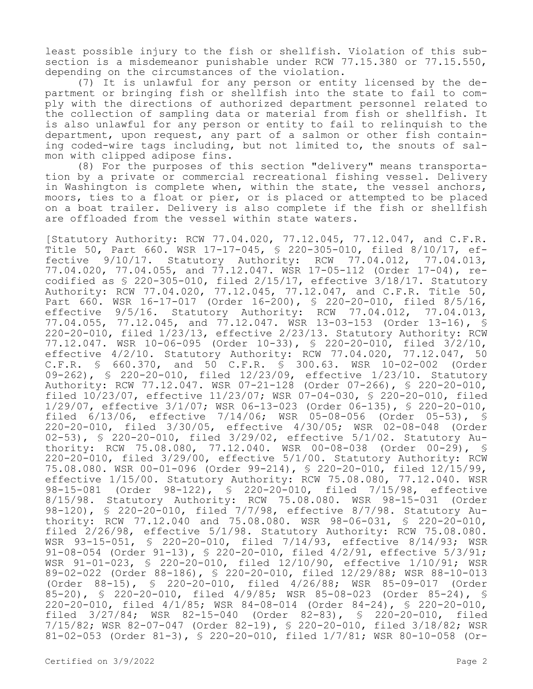least possible injury to the fish or shellfish. Violation of this subsection is a misdemeanor punishable under RCW 77.15.380 or 77.15.550, depending on the circumstances of the violation.

(7) It is unlawful for any person or entity licensed by the department or bringing fish or shellfish into the state to fail to comply with the directions of authorized department personnel related to the collection of sampling data or material from fish or shellfish. It is also unlawful for any person or entity to fail to relinquish to the department, upon request, any part of a salmon or other fish containing coded-wire tags including, but not limited to, the snouts of salmon with clipped adipose fins.

(8) For the purposes of this section "delivery" means transportation by a private or commercial recreational fishing vessel. Delivery in Washington is complete when, within the state, the vessel anchors, moors, ties to a float or pier, or is placed or attempted to be placed on a boat trailer. Delivery is also complete if the fish or shellfish are offloaded from the vessel within state waters.

[Statutory Authority: RCW 77.04.020, 77.12.045, 77.12.047, and C.F.R. Title 50, Part 660. WSR 17-17-045, § 220-305-010, filed 8/10/17, effective 9/10/17. Statutory Authority: RCW 77.04.012, 77.04.013, 77.04.020, 77.04.055, and 77.12.047. WSR 17-05-112 (Order 17-04), recodified as § 220-305-010, filed 2/15/17, effective 3/18/17. Statutory Authority: RCW 77.04.020, 77.12.045, 77.12.047, and C.F.R. Title 50, Part 660. WSR 16-17-017 (Order 16-200), § 220-20-010, filed 8/5/16, effective 9/5/16. Statutory Authority: RCW 77.04.012, 77.04.013, 77.04.055, 77.12.045, and 77.12.047. WSR 13-03-153 (Order 13-16), § 220-20-010, filed 1/23/13, effective 2/23/13. Statutory Authority: RCW 77.12.047. WSR 10-06-095 (Order 10-33), § 220-20-010, filed 3/2/10, effective 4/2/10. Statutory Authority: RCW 77.04.020, 77.12.047, 50 C.F.R. § 660.370, and 50 C.F.R. § 300.63. WSR 10-02-002 (Order 09-262), § 220-20-010, filed 12/23/09, effective 1/23/10. Statutory Authority: RCW 77.12.047. WSR 07-21-128 (Order 07-266), § 220-20-010, filed 10/23/07, effective 11/23/07; WSR 07-04-030, § 220-20-010, filed 1/29/07, effective 3/1/07; WSR 06-13-023 (Order 06-135), § 220-20-010, filed 6/13/06, effective 7/14/06; WSR 05-08-056 (Order 05-53), § 220-20-010, filed 3/30/05, effective 4/30/05; WSR 02-08-048 (Order 02-53), § 220-20-010, filed 3/29/02, effective 5/1/02. Statutory Authority: RCW 75.08.080, 77.12.040. WSR 00-08-038 (Order 00-29), § 220-20-010, filed 3/29/00, effective 5/1/00. Statutory Authority: RCW 75.08.080. WSR 00-01-096 (Order 99-214), § 220-20-010, filed 12/15/99, effective 1/15/00. Statutory Authority: RCW 75.08.080, 77.12.040. WSR 98-15-081 (Order 98-122), § 220-20-010, filed 7/15/98, effective 8/15/98. Statutory Authority: RCW 75.08.080. WSR 98-15-031 (Order 98-120), § 220-20-010, filed 7/7/98, effective 8/7/98. Statutory Authority: RCW 77.12.040 and 75.08.080. WSR 98-06-031, § 220-20-010, filed 2/26/98, effective 5/1/98. Statutory Authority: RCW 75.08.080. WSR 93-15-051, § 220-20-010, filed 7/14/93, effective 8/14/93; WSR 91-08-054 (Order 91-13), § 220-20-010, filed 4/2/91, effective 5/3/91; WSR 91-01-023, § 220-20-010, filed 12/10/90, effective 1/10/91; WSR 89-02-022 (Order 88-186), § 220-20-010, filed 12/29/88; WSR 88-10-013 (Order 88-15), § 220-20-010, filed 4/26/88; WSR 85-09-017 (Order 85-20), § 220-20-010, filed 4/9/85; WSR 85-08-023 (Order 85-24), § 220-20-010, filed 4/1/85; WSR 84-08-014 (Order 84-24), § 220-20-010, filed 3/27/84; WSR 82-15-040 (Order 82-83), § 220-20-010, filed 7/15/82; WSR 82-07-047 (Order 82-19), § 220-20-010, filed 3/18/82; WSR 81-02-053 (Order 81-3), § 220-20-010, filed 1/7/81; WSR 80-10-058 (Or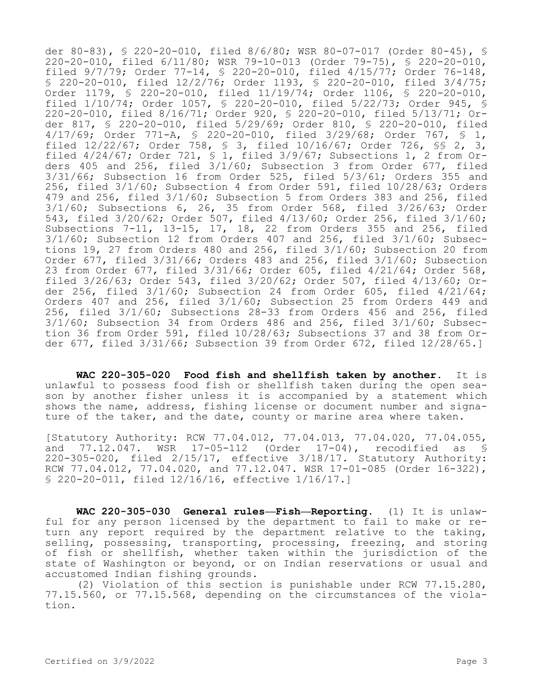der 80-83), § 220-20-010, filed 8/6/80; WSR 80-07-017 (Order 80-45), § 220-20-010, filed 6/11/80; WSR 79-10-013 (Order 79-75), § 220-20-010, filed 9/7/79; Order 77-14, § 220-20-010, filed 4/15/77; Order 76-148, § 220-20-010, filed 12/2/76; Order 1193, § 220-20-010, filed 3/4/75; Order 1179, § 220-20-010, filed 11/19/74; Order 1106, § 220-20-010, filed 1/10/74; Order 1057, § 220-20-010, filed 5/22/73; Order 945, § 220-20-010, filed 8/16/71; Order 920, § 220-20-010, filed 5/13/71; Order 817, § 220-20-010, filed 5/29/69; Order 810, § 220-20-010, filed 4/17/69; Order 771-A, § 220-20-010, filed 3/29/68; Order 767, § 1, filed 12/22/67; Order 758, § 3, filed 10/16/67; Order 726, §§ 2, 3, filed 4/24/67; Order 721, § 1, filed 3/9/67; Subsections 1, 2 from Orders 405 and 256, filed 3/1/60; Subsection 3 from Order 677, filed 3/31/66; Subsection 16 from Order 525, filed 5/3/61; Orders 355 and 256, filed 3/1/60; Subsection 4 from Order 591, filed 10/28/63; Orders 479 and 256, filed 3/1/60; Subsection 5 from Orders 383 and 256, filed 3/1/60; Subsections 6, 26, 35 from Order 568, filed 3/26/63; Order 543, filed 3/20/62; Order 507, filed 4/13/60; Order 256, filed 3/1/60; Subsections 7-11, 13-15, 17, 18, 22 from Orders 355 and 256, filed 3/1/60; Subsection 12 from Orders 407 and 256, filed 3/1/60; Subsections 19, 27 from Orders 480 and 256, filed 3/1/60; Subsection 20 from Order 677, filed 3/31/66; Orders 483 and 256, filed 3/1/60; Subsection 23 from Order 677, filed 3/31/66; Order 605, filed 4/21/64; Order 568, filed 3/26/63; Order 543, filed 3/20/62; Order 507, filed 4/13/60; Order 256, filed 3/1/60; Subsection 24 from Order 605, filed 4/21/64; Orders 407 and 256, filed 3/1/60; Subsection 25 from Orders 449 and 256, filed 3/1/60; Subsections 28-33 from Orders 456 and 256, filed 3/1/60; Subsection 34 from Orders 486 and 256, filed 3/1/60; Subsection 36 from Order 591, filed 10/28/63; Subsections 37 and 38 from Order 677, filed 3/31/66; Subsection 39 from Order 672, filed 12/28/65.]

**WAC 220-305-020 Food fish and shellfish taken by another.** It is unlawful to possess food fish or shellfish taken during the open season by another fisher unless it is accompanied by a statement which shows the name, address, fishing license or document number and signature of the taker, and the date, county or marine area where taken.

[Statutory Authority: RCW 77.04.012, 77.04.013, 77.04.020, 77.04.055, and 77.12.047. WSR 17-05-112 (Order 17-04), recodified as § 220-305-020, filed 2/15/17, effective 3/18/17. Statutory Authority: RCW 77.04.012, 77.04.020, and 77.12.047. WSR 17-01-085 (Order 16-322), § 220-20-011, filed 12/16/16, effective 1/16/17.]

**WAC 220-305-030 General rules—Fish—Reporting.** (1) It is unlawful for any person licensed by the department to fail to make or return any report required by the department relative to the taking, selling, possessing, transporting, processing, freezing, and storing of fish or shellfish, whether taken within the jurisdiction of the state of Washington or beyond, or on Indian reservations or usual and accustomed Indian fishing grounds.

(2) Violation of this section is punishable under RCW 77.15.280, 77.15.560, or 77.15.568, depending on the circumstances of the violation.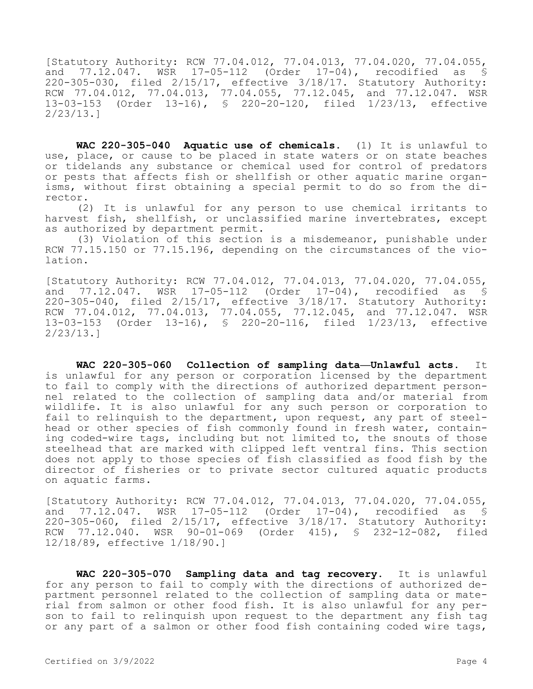[Statutory Authority: RCW 77.04.012, 77.04.013, 77.04.020, 77.04.055, and 77.12.047. WSR 17-05-112 (Order 17-04), recodified as \$ 220-305-030, filed 2/15/17, effective 3/18/17. Statutory Authority: RCW 77.04.012, 77.04.013, 77.04.055, 77.12.045, and 77.12.047. WSR 13-03-153 (Order 13-16), § 220-20-120, filed 1/23/13, effective 2/23/13.]

**WAC 220-305-040 Aquatic use of chemicals.** (1) It is unlawful to use, place, or cause to be placed in state waters or on state beaches or tidelands any substance or chemical used for control of predators or pests that affects fish or shellfish or other aquatic marine organisms, without first obtaining a special permit to do so from the director.

(2) It is unlawful for any person to use chemical irritants to harvest fish, shellfish, or unclassified marine invertebrates, except as authorized by department permit.

(3) Violation of this section is a misdemeanor, punishable under RCW 77.15.150 or 77.15.196, depending on the circumstances of the violation.

[Statutory Authority: RCW 77.04.012, 77.04.013, 77.04.020, 77.04.055, and 77.12.047. WSR 17-05-112 (Order 17-04), recodified as § 220-305-040, filed 2/15/17, effective 3/18/17. Statutory Authority: RCW 77.04.012, 77.04.013, 77.04.055, 77.12.045, and 77.12.047. WSR 13-03-153 (Order 13-16), § 220-20-116, filed 1/23/13, effective 2/23/13.]

**WAC 220-305-060 Collection of sampling data—Unlawful acts.** It is unlawful for any person or corporation licensed by the department to fail to comply with the directions of authorized department personnel related to the collection of sampling data and/or material from wildlife. It is also unlawful for any such person or corporation to fail to relinquish to the department, upon request, any part of steelhead or other species of fish commonly found in fresh water, containing coded-wire tags, including but not limited to, the snouts of those steelhead that are marked with clipped left ventral fins. This section does not apply to those species of fish classified as food fish by the director of fisheries or to private sector cultured aquatic products on aquatic farms.

[Statutory Authority: RCW 77.04.012, 77.04.013, 77.04.020, 77.04.055, and 77.12.047. WSR 17-05-112 (Order 17-04), recodified as § 220-305-060, filed 2/15/17, effective 3/18/17. Statutory Authority: RCW 77.12.040. WSR 90-01-069 (Order 415), § 232-12-082, filed 12/18/89, effective 1/18/90.]

**WAC 220-305-070 Sampling data and tag recovery.** It is unlawful for any person to fail to comply with the directions of authorized department personnel related to the collection of sampling data or material from salmon or other food fish. It is also unlawful for any person to fail to relinquish upon request to the department any fish tag or any part of a salmon or other food fish containing coded wire tags,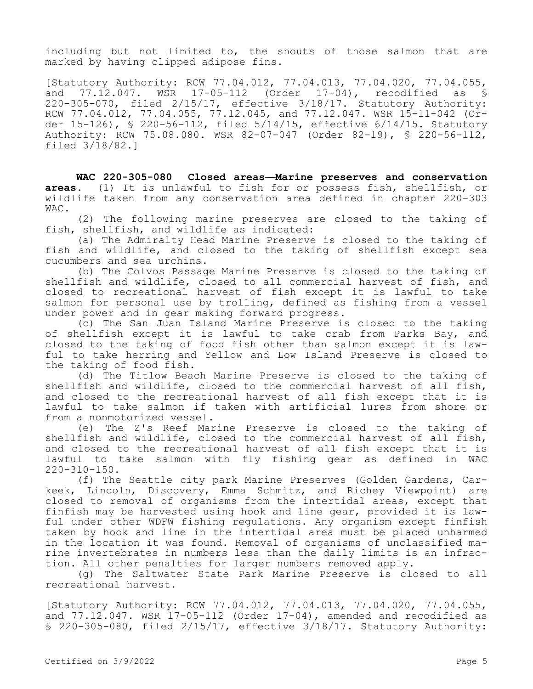including but not limited to, the snouts of those salmon that are marked by having clipped adipose fins.

[Statutory Authority: RCW 77.04.012, 77.04.013, 77.04.020, 77.04.055,<br>and 77.12.047. WSR 17-05-112 (Order 17-04), recodified as \$ and 77.12.047. WSR 17-05-112 (Order 17-04), recodified as § 220-305-070, filed 2/15/17, effective 3/18/17. Statutory Authority: RCW 77.04.012, 77.04.055, 77.12.045, and 77.12.047. WSR 15-11-042 (Order 15-126), § 220-56-112, filed 5/14/15, effective 6/14/15. Statutory Authority: RCW 75.08.080. WSR 82-07-047 (Order 82-19), § 220-56-112, filed 3/18/82.]

**WAC 220-305-080 Closed areas—Marine preserves and conservation areas.** (1) It is unlawful to fish for or possess fish, shellfish, or wildlife taken from any conservation area defined in chapter 220-303 WAC.

(2) The following marine preserves are closed to the taking of fish, shellfish, and wildlife as indicated:

(a) The Admiralty Head Marine Preserve is closed to the taking of fish and wildlife, and closed to the taking of shellfish except sea cucumbers and sea urchins.

(b) The Colvos Passage Marine Preserve is closed to the taking of shellfish and wildlife, closed to all commercial harvest of fish, and closed to recreational harvest of fish except it is lawful to take salmon for personal use by trolling, defined as fishing from a vessel under power and in gear making forward progress.

(c) The San Juan Island Marine Preserve is closed to the taking of shellfish except it is lawful to take crab from Parks Bay, and closed to the taking of food fish other than salmon except it is lawful to take herring and Yellow and Low Island Preserve is closed to the taking of food fish.

(d) The Titlow Beach Marine Preserve is closed to the taking of shellfish and wildlife, closed to the commercial harvest of all fish, and closed to the recreational harvest of all fish except that it is lawful to take salmon if taken with artificial lures from shore or from a nonmotorized vessel.

(e) The Z's Reef Marine Preserve is closed to the taking of shellfish and wildlife, closed to the commercial harvest of all fish, and closed to the recreational harvest of all fish except that it is lawful to take salmon with fly fishing gear as defined in WAC 220-310-150.

(f) The Seattle city park Marine Preserves (Golden Gardens, Carkeek, Lincoln, Discovery, Emma Schmitz, and Richey Viewpoint) are closed to removal of organisms from the intertidal areas, except that finfish may be harvested using hook and line gear, provided it is lawful under other WDFW fishing regulations. Any organism except finfish taken by hook and line in the intertidal area must be placed unharmed in the location it was found. Removal of organisms of unclassified marine invertebrates in numbers less than the daily limits is an infraction. All other penalties for larger numbers removed apply.

(g) The Saltwater State Park Marine Preserve is closed to all recreational harvest.

[Statutory Authority: RCW 77.04.012, 77.04.013, 77.04.020, 77.04.055, and  $77.12.047$ . WSR  $17-05-112$  (Order  $17-04$ ), amended and recodified as § 220-305-080, filed 2/15/17, effective 3/18/17. Statutory Authority: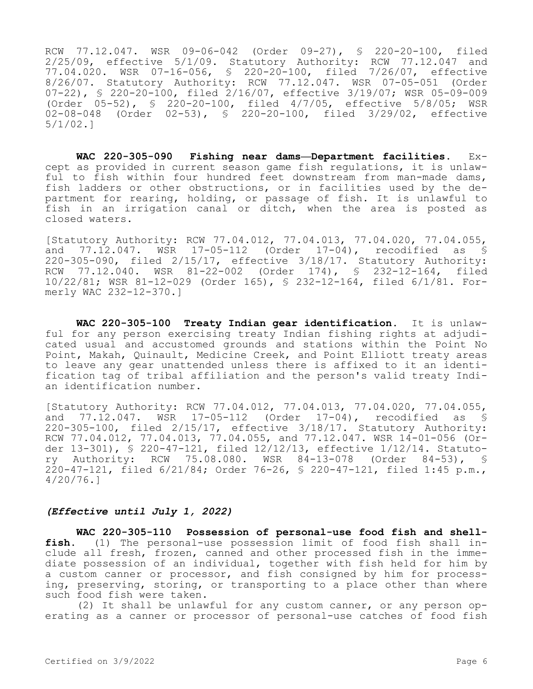RCW 77.12.047. WSR 09-06-042 (Order 09-27), § 220-20-100, filed 2/25/09, effective 5/1/09. Statutory Authority: RCW 77.12.047 and 77.04.020. WSR 07-16-056, § 220-20-100, filed 7/26/07, effective 8/26/07. Statutory Authority: RCW 77.12.047. WSR 07-05-051 (Order 07-22), § 220-20-100, filed 2/16/07, effective 3/19/07; WSR 05-09-009 (Order 05-52), § 220-20-100, filed 4/7/05, effective 5/8/05; WSR 02-08-048 (Order 02-53), § 220-20-100, filed 3/29/02, effective 5/1/02.]

**WAC 220-305-090 Fishing near dams—Department facilities.** Except as provided in current season game fish regulations, it is unlawful to fish within four hundred feet downstream from man-made dams, fish ladders or other obstructions, or in facilities used by the department for rearing, holding, or passage of fish. It is unlawful to fish in an irrigation canal or ditch, when the area is posted as closed waters.

[Statutory Authority: RCW 77.04.012, 77.04.013, 77.04.020, 77.04.055, and 77.12.047. WSR 17-05-112 (Order 17-04), recodified as § 220-305-090, filed 2/15/17, effective 3/18/17. Statutory Authority: RCW 77.12.040. WSR 81-22-002 (Order 174), § 232-12-164, filed 10/22/81; WSR 81-12-029 (Order 165), § 232-12-164, filed 6/1/81. Formerly WAC 232-12-370.]

**WAC 220-305-100 Treaty Indian gear identification.** It is unlawful for any person exercising treaty Indian fishing rights at adjudicated usual and accustomed grounds and stations within the Point No Point, Makah, Quinault, Medicine Creek, and Point Elliott treaty areas to leave any gear unattended unless there is affixed to it an identification tag of tribal affiliation and the person's valid treaty Indian identification number.

[Statutory Authority: RCW 77.04.012, 77.04.013, 77.04.020, 77.04.055, and 77.12.047. WSR 17-05-112 (Order 17-04), recodified as § 220-305-100, filed 2/15/17, effective 3/18/17. Statutory Authority: RCW 77.04.012, 77.04.013, 77.04.055, and 77.12.047. WSR 14-01-056 (Order 13-301), § 220-47-121, filed 12/12/13, effective 1/12/14. Statutory Authority: RCW 75.08.080. WSR 84-13-078 (Order 84-53), § 220-47-121, filed 6/21/84; Order 76-26, § 220-47-121, filed 1:45 p.m., 4/20/76.]

## *(Effective until July 1, 2022)*

**WAC 220-305-110 Possession of personal-use food fish and shellfish.** (1) The personal-use possession limit of food fish shall include all fresh, frozen, canned and other processed fish in the immediate possession of an individual, together with fish held for him by a custom canner or processor, and fish consigned by him for processing, preserving, storing, or transporting to a place other than where such food fish were taken.

(2) It shall be unlawful for any custom canner, or any person operating as a canner or processor of personal-use catches of food fish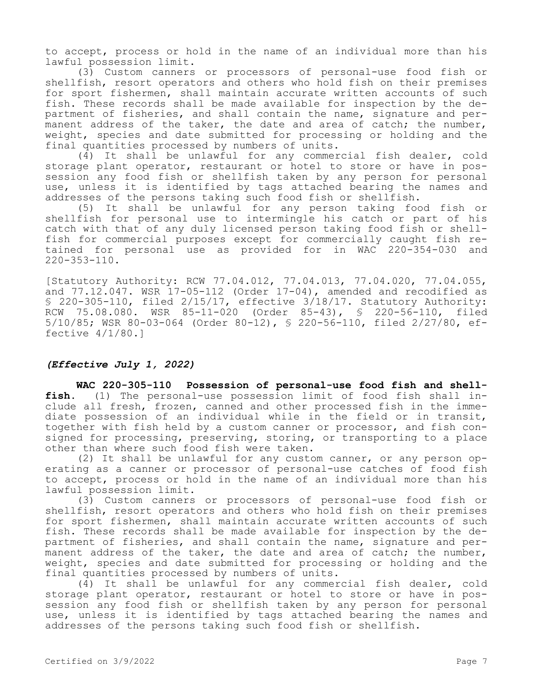to accept, process or hold in the name of an individual more than his lawful possession limit.

(3) Custom canners or processors of personal-use food fish or shellfish, resort operators and others who hold fish on their premises for sport fishermen, shall maintain accurate written accounts of such fish. These records shall be made available for inspection by the department of fisheries, and shall contain the name, signature and permanent address of the taker, the date and area of catch; the number, weight, species and date submitted for processing or holding and the final quantities processed by numbers of units.

(4) It shall be unlawful for any commercial fish dealer, cold storage plant operator, restaurant or hotel to store or have in possession any food fish or shellfish taken by any person for personal use, unless it is identified by tags attached bearing the names and addresses of the persons taking such food fish or shellfish.

(5) It shall be unlawful for any person taking food fish or shellfish for personal use to intermingle his catch or part of his catch with that of any duly licensed person taking food fish or shellfish for commercial purposes except for commercially caught fish retained for personal use as provided for in WAC 220-354-030 and  $220 - 353 - 110$ .

[Statutory Authority: RCW 77.04.012, 77.04.013, 77.04.020, 77.04.055, and 77.12.047. WSR 17-05-112 (Order 17-04), amended and recodified as § 220-305-110, filed 2/15/17, effective 3/18/17. Statutory Authority: RCW 75.08.080. WSR 85-11-020 (Order 85-43), § 220-56-110, filed 5/10/85; WSR 80-03-064 (Order 80-12), § 220-56-110, filed 2/27/80, effective 4/1/80.]

## *(Effective July 1, 2022)*

**WAC 220-305-110 Possession of personal-use food fish and shellfish.** (1) The personal-use possession limit of food fish shall include all fresh, frozen, canned and other processed fish in the immediate possession of an individual while in the field or in transit, together with fish held by a custom canner or processor, and fish consigned for processing, preserving, storing, or transporting to a place other than where such food fish were taken.

(2) It shall be unlawful for any custom canner, or any person operating as a canner or processor of personal-use catches of food fish to accept, process or hold in the name of an individual more than his lawful possession limit.

(3) Custom canners or processors of personal-use food fish or shellfish, resort operators and others who hold fish on their premises for sport fishermen, shall maintain accurate written accounts of such fish. These records shall be made available for inspection by the department of fisheries, and shall contain the name, signature and permanent address of the taker, the date and area of catch; the number, weight, species and date submitted for processing or holding and the final quantities processed by numbers of units.

(4) It shall be unlawful for any commercial fish dealer, cold storage plant operator, restaurant or hotel to store or have in possession any food fish or shellfish taken by any person for personal use, unless it is identified by tags attached bearing the names and addresses of the persons taking such food fish or shellfish.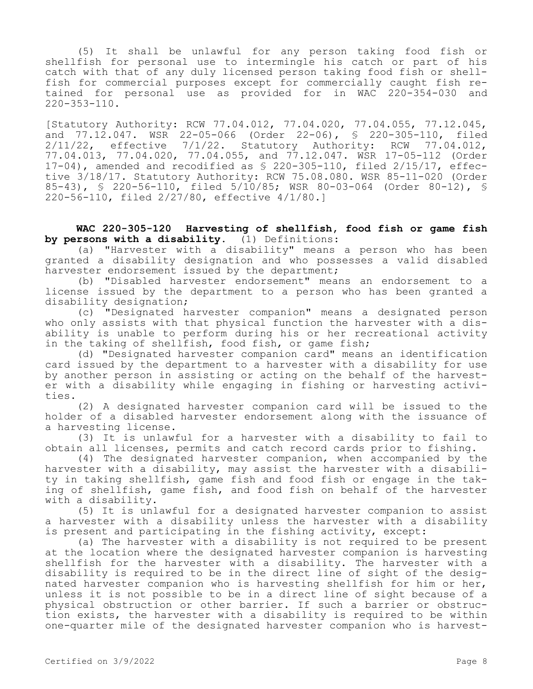(5) It shall be unlawful for any person taking food fish or shellfish for personal use to intermingle his catch or part of his catch with that of any duly licensed person taking food fish or shellfish for commercial purposes except for commercially caught fish retained for personal use as provided for in WAC 220-354-030 and  $220 - 353 - 110$ .

[Statutory Authority: RCW 77.04.012, 77.04.020, 77.04.055, 77.12.045, and 77.12.047. WSR 22-05-066 (Order 22-06), § 220-305-110, filed<br>2/11/22, effective 7/1/22. Statutory Authority: RCW 77.04.012, effective 7/1/22. Statutory Authority: RCW 77.04.012, 77.04.013, 77.04.020, 77.04.055, and 77.12.047. WSR 17-05-112 (Order 17-04), amended and recodified as § 220-305-110, filed 2/15/17, effective 3/18/17. Statutory Authority: RCW 75.08.080. WSR 85-11-020 (Order 85-43), § 220-56-110, filed 5/10/85; WSR 80-03-064 (Order 80-12), § 220-56-110, filed 2/27/80, effective 4/1/80.]

**WAC 220-305-120 Harvesting of shellfish, food fish or game fish by persons with a disability.** (1) Definitions:

(a) "Harvester with a disability" means a person who has been granted a disability designation and who possesses a valid disabled harvester endorsement issued by the department;

(b) "Disabled harvester endorsement" means an endorsement to a license issued by the department to a person who has been granted a disability designation;

(c) "Designated harvester companion" means a designated person who only assists with that physical function the harvester with a disability is unable to perform during his or her recreational activity in the taking of shellfish, food fish, or game fish;

(d) "Designated harvester companion card" means an identification card issued by the department to a harvester with a disability for use by another person in assisting or acting on the behalf of the harvester with a disability while engaging in fishing or harvesting activities.

(2) A designated harvester companion card will be issued to the holder of a disabled harvester endorsement along with the issuance of a harvesting license.

(3) It is unlawful for a harvester with a disability to fail to obtain all licenses, permits and catch record cards prior to fishing.

(4) The designated harvester companion, when accompanied by the harvester with a disability, may assist the harvester with a disability in taking shellfish, game fish and food fish or engage in the taking of shellfish, game fish, and food fish on behalf of the harvester with a disability.

(5) It is unlawful for a designated harvester companion to assist a harvester with a disability unless the harvester with a disability is present and participating in the fishing activity, except:

(a) The harvester with a disability is not required to be present at the location where the designated harvester companion is harvesting shellfish for the harvester with a disability. The harvester with a disability is required to be in the direct line of sight of the designated harvester companion who is harvesting shellfish for him or her, unless it is not possible to be in a direct line of sight because of a physical obstruction or other barrier. If such a barrier or obstruction exists, the harvester with a disability is required to be within one-quarter mile of the designated harvester companion who is harvest